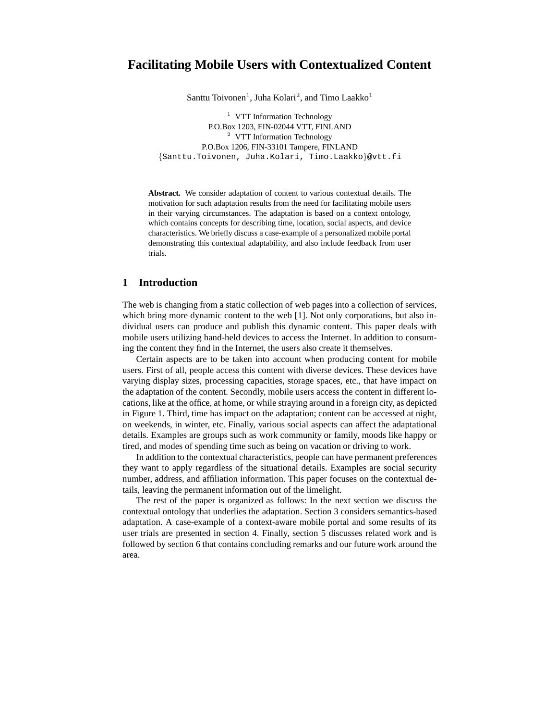# **Facilitating Mobile Users with Contextualized Content**

Santtu Toivonen<sup>1</sup>, Juha Kolari<sup>2</sup>, and Timo Laakko<sup>1</sup>

<sup>1</sup> VTT Information Technology P.O.Box 1203, FIN-02044 VTT, FINLAND <sup>2</sup> VTT Information Technology P.O.Box 1206, FIN-33101 Tampere, FINLAND {Santtu.Toivonen, Juha.Kolari, Timo.Laakko}@vtt.fi

**Abstract.** We consider adaptation of content to various contextual details. The motivation for such adaptation results from the need for facilitating mobile users in their varying circumstances. The adaptation is based on a context ontology, which contains concepts for describing time, location, social aspects, and device characteristics. We briefly discuss a case-example of a personalized mobile portal demonstrating this contextual adaptability, and also include feedback from user trials.

## **1 Introduction**

The web is changing from a static collection of web pages into a collection of services, which bring more dynamic content to the web [1]. Not only corporations, but also individual users can produce and publish this dynamic content. This paper deals with mobile users utilizing hand-held devices to access the Internet. In addition to consuming the content they find in the Internet, the users also create it themselves.

Certain aspects are to be taken into account when producing content for mobile users. First of all, people access this content with diverse devices. These devices have varying display sizes, processing capacities, storage spaces, etc., that have impact on the adaptation of the content. Secondly, mobile users access the content in different locations, like at the office, at home, or while straying around in a foreign city, as depicted in Figure 1. Third, time has impact on the adaptation; content can be accessed at night, on weekends, in winter, etc. Finally, various social aspects can affect the adaptational details. Examples are groups such as work community or family, moods like happy or tired, and modes of spending time such as being on vacation or driving to work.

In addition to the contextual characteristics, people can have permanent preferences they want to apply regardless of the situational details. Examples are social security number, address, and affiliation information. This paper focuses on the contextual details, leaving the permanent information out of the limelight.

The rest of the paper is organized as follows: In the next section we discuss the contextual ontology that underlies the adaptation. Section 3 considers semantics-based adaptation. A case-example of a context-aware mobile portal and some results of its user trials are presented in section 4. Finally, section 5 discusses related work and is followed by section 6 that contains concluding remarks and our future work around the area.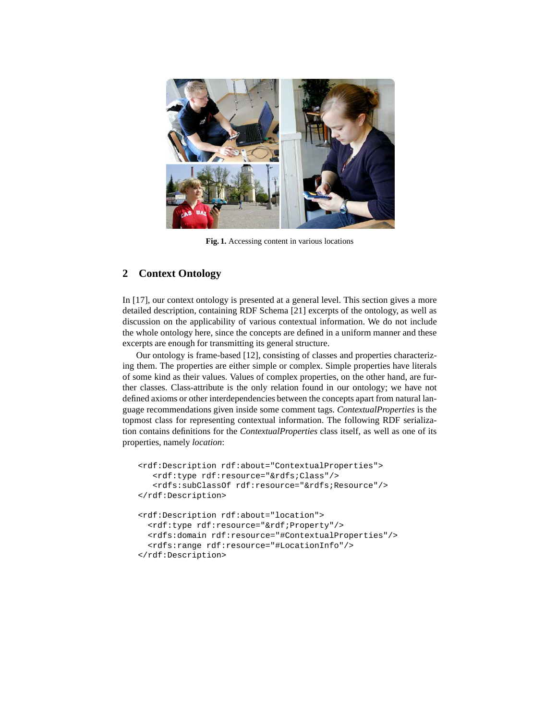

**Fig. 1.** Accessing content in various locations

## **2 Context Ontology**

In [17], our context ontology is presented at a general level. This section gives a more detailed description, containing RDF Schema [21] excerpts of the ontology, as well as discussion on the applicability of various contextual information. We do not include the whole ontology here, since the concepts are defined in a uniform manner and these excerpts are enough for transmitting its general structure.

Our ontology is frame-based [12], consisting of classes and properties characterizing them. The properties are either simple or complex. Simple properties have literals of some kind as their values. Values of complex properties, on the other hand, are further classes. Class-attribute is the only relation found in our ontology; we have not defined axioms or other interdependencies between the concepts apart from natural language recommendations given inside some comment tags. *ContextualProperties* is the topmost class for representing contextual information. The following RDF serialization contains definitions for the *ContextualProperties* class itself, as well as one of its properties, namely *location*:

```
<rdf:Description rdf:about="ContextualProperties">
   <rdf:type rdf:resource="&rdfs;Class"/>
   <rdfs:subClassOf rdf:resource="&rdfs;Resource"/>
</rdf:Description>
<rdf:Description rdf:about="location">
  <rdf:type rdf:resource="&rdf;Property"/>
  <rdfs:domain rdf:resource="#ContextualProperties"/>
  <rdfs:range rdf:resource="#LocationInfo"/>
</rdf:Description>
```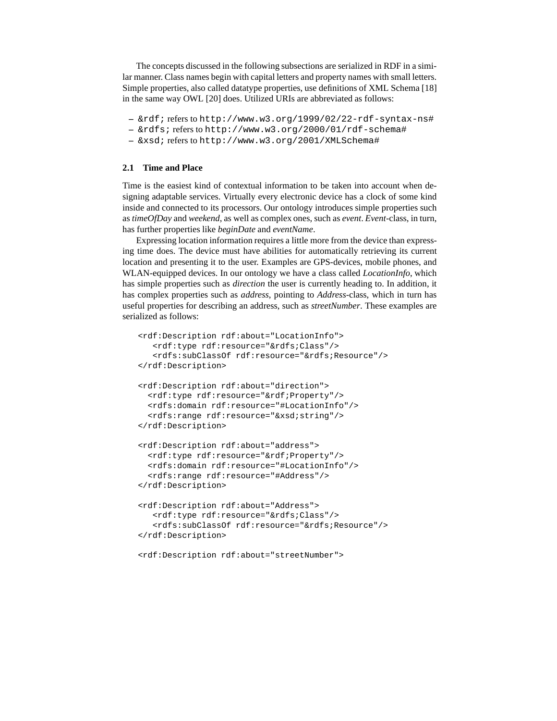The concepts discussed in the following subsections are serialized in RDF in a similar manner. Class names begin with capital letters and property names with small letters. Simple properties, also called datatype properties, use definitions of XML Schema [18] in the same way OWL [20] does. Utilized URIs are abbreviated as follows:

```
– &rdf; refers to http://www.w3.org/1999/02/22-rdf-syntax-ns#
```
- **–** &rdfs; refers to http://www.w3.org/2000/01/rdf-schema#
- **–** &xsd; refers to http://www.w3.org/2001/XMLSchema#

#### **2.1 Time and Place**

Time is the easiest kind of contextual information to be taken into account when designing adaptable services. Virtually every electronic device has a clock of some kind inside and connected to its processors. Our ontology introduces simple properties such as *timeOfDay* and *weekend*, as well as complex ones, such as *event*. *Event*-class, in turn, has further properties like *beginDate* and *eventName*.

Expressing location information requires a little more from the device than expressing time does. The device must have abilities for automatically retrieving its current location and presenting it to the user. Examples are GPS-devices, mobile phones, and WLAN-equipped devices. In our ontology we have a class called *LocationInfo*, which has simple properties such as *direction* the user is currently heading to. In addition, it has complex properties such as *address*, pointing to *Address*-class, which in turn has useful properties for describing an address, such as *streetNumber*. These examples are serialized as follows:

```
<rdf:Description rdf:about="LocationInfo">
   <rdf:type rdf:resource="&rdfs;Class"/>
   <rdfs:subClassOf rdf:resource="&rdfs;Resource"/>
</rdf:Description>
<rdf:Description rdf:about="direction">
  <rdf:type rdf:resource="&rdf;Property"/>
 <rdfs:domain rdf:resource="#LocationInfo"/>
  <rdfs:range rdf:resource="&xsd;string"/>
</rdf:Description>
<rdf:Description rdf:about="address">
  <rdf:type rdf:resource="&rdf;Property"/>
  <rdfs:domain rdf:resource="#LocationInfo"/>
  <rdfs:range rdf:resource="#Address"/>
</rdf:Description>
<rdf:Description rdf:about="Address">
   <rdf:type rdf:resource="&rdfs;Class"/>
   <rdfs:subClassOf rdf:resource="&rdfs;Resource"/>
</rdf:Description>
```
<rdf:Description rdf:about="streetNumber">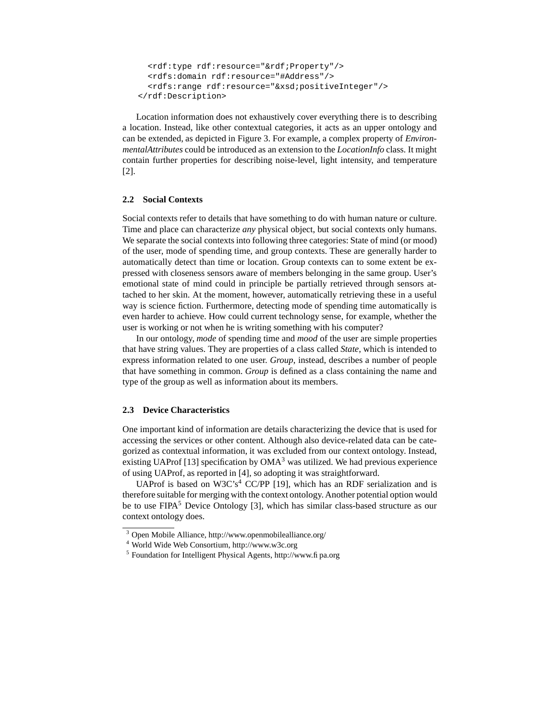```
<rdf:type rdf:resource="&rdf;Property"/>
  <rdfs:domain rdf:resource="#Address"/>
  <rdfs:range rdf:resource="&xsd;positiveInteger"/>
</rdf:Description>
```
Location information does not exhaustively cover everything there is to describing a location. Instead, like other contextual categories, it acts as an upper ontology and can be extended, as depicted in Figure 3. For example, a complex property of *EnvironmentalAttributes* could be introduced as an extension to the *LocationInfo* class. It might contain further properties for describing noise-level, light intensity, and temperature [2].

## **2.2 Social Contexts**

Social contexts refer to details that have something to do with human nature or culture. Time and place can characterize *any* physical object, but social contexts only humans. We separate the social contexts into following three categories: State of mind (or mood) of the user, mode of spending time, and group contexts. These are generally harder to automatically detect than time or location. Group contexts can to some extent be expressed with closeness sensors aware of members belonging in the same group. User's emotional state of mind could in principle be partially retrieved through sensors attached to her skin. At the moment, however, automatically retrieving these in a useful way is science fiction. Furthermore, detecting mode of spending time automatically is even harder to achieve. How could current technology sense, for example, whether the user is working or not when he is writing something with his computer?

In our ontology, *mode* of spending time and *mood* of the user are simple properties that have string values. They are properties of a class called *State*, which is intended to express information related to one user. *Group*, instead, describes a number of people that have something in common. *Group* is defined as a class containing the name and type of the group as well as information about its members.

#### **2.3 Device Characteristics**

One important kind of information are details characterizing the device that is used for accessing the services or other content. Although also device-related data can be categorized as contextual information, it was excluded from our context ontology. Instead, existing UAProf [13] specification by  $OMA<sup>3</sup>$  was utilized. We had previous experience of using UAProf, as reported in [4], so adopting it was straightforward.

UAProf is based on W3C's<sup>4</sup> CC/PP [19], which has an RDF serialization and is therefore suitable for merging with the context ontology. Another potential option would be to use FIPA<sup>5</sup> Device Ontology [3], which has similar class-based structure as our context ontology does.

<sup>3</sup> Open Mobile Alliance, http://www.openmobilealliance.org/

<sup>4</sup> World Wide Web Consortium, http://www.w3c.org

<sup>5</sup> Foundation for Intelligent Physical Agents, http://www.fipa.org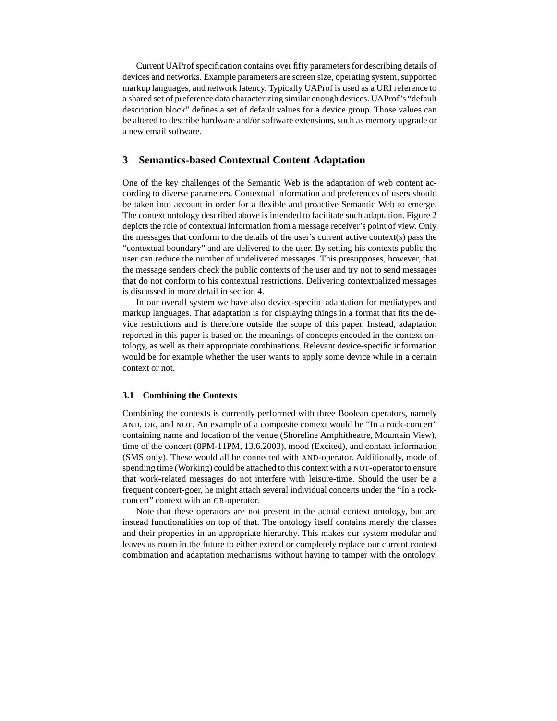Current UAProf specification contains over fifty parameters for describing details of devices and networks. Example parameters are screen size, operating system, supported markup languages, and network latency. Typically UAProf is used as a URI reference to a shared set of preference data characterizing similar enough devices. UAProf's "default description block" defines a set of default values for a device group. Those values can be altered to describe hardware and/or software extensions, such as memory upgrade or a new email software.

## **3 Semantics-based Contextual Content Adaptation**

One of the key challenges of the Semantic Web is the adaptation of web content according to diverse parameters. Contextual information and preferences of users should be taken into account in order for a flexible and proactive Semantic Web to emerge. The context ontology described above is intended to facilitate such adaptation. Figure 2 depicts the role of contextual information from a message receiver's point of view. Only the messages that conform to the details of the user's current active context(s) pass the "contextual boundary" and are delivered to the user. By setting his contexts public the user can reduce the number of undelivered messages. This presupposes, however, that the message senders check the public contexts of the user and try not to send messages that do not conform to his contextual restrictions. Delivering contextualized messages is discussed in more detail in section 4.

In our overall system we have also device-specific adaptation for mediatypes and markup languages. That adaptation is for displaying things in a format that fits the device restrictions and is therefore outside the scope of this paper. Instead, adaptation reported in this paper is based on the meanings of concepts encoded in the context ontology, as well as their appropriate combinations. Relevant device-specific information would be for example whether the user wants to apply some device while in a certain context or not.

#### **3.1 Combining the Contexts**

Combining the contexts is currently performed with three Boolean operators, namely AND, OR, and NOT. An example of a composite context would be "In a rock-concert" containing name and location of the venue (Shoreline Amphitheatre, Mountain View), time of the concert (8PM-11PM, 13.6.2003), mood (Excited), and contact information (SMS only). These would all be connected with AND-operator. Additionally, mode of spending time (Working) could be attached to this context with a NOT-operator to ensure that work-related messages do not interfere with leisure-time. Should the user be a frequent concert-goer, he might attach several individual concerts under the "In a rockconcert" context with an OR-operator.

Note that these operators are not present in the actual context ontology, but are instead functionalities on top of that. The ontology itself contains merely the classes and their properties in an appropriate hierarchy. This makes our system modular and leaves us room in the future to either extend or completely replace our current context combination and adaptation mechanisms without having to tamper with the ontology.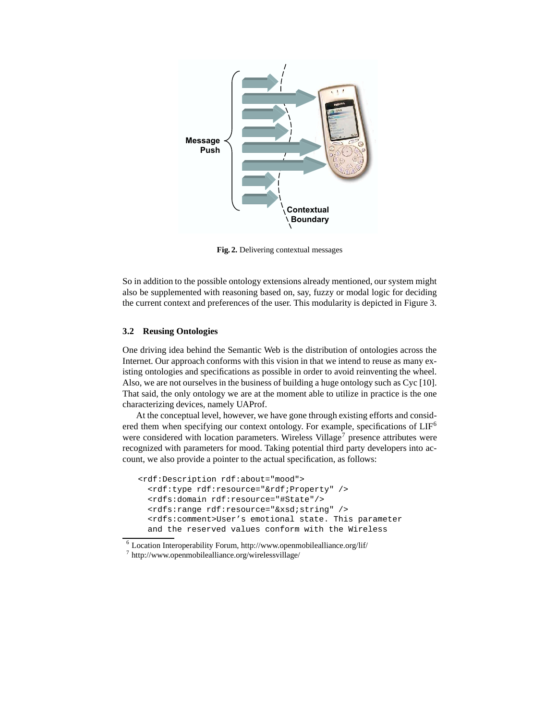

**Fig. 2.** Delivering contextual messages

So in addition to the possible ontology extensions already mentioned, our system might also be supplemented with reasoning based on, say, fuzzy or modal logic for deciding the current context and preferences of the user. This modularity is depicted in Figure 3.

## **3.2 Reusing Ontologies**

One driving idea behind the Semantic Web is the distribution of ontologies across the Internet. Our approach conforms with this vision in that we intend to reuse as many existing ontologies and specifications as possible in order to avoid reinventing the wheel. Also, we are not ourselves in the business of building a huge ontology such as Cyc [10]. That said, the only ontology we are at the moment able to utilize in practice is the one characterizing devices, namely UAProf.

At the conceptual level, however, we have gone through existing efforts and considered them when specifying our context ontology. For example, specifications of  $LIF<sup>6</sup>$ were considered with location parameters. Wireless Village<sup>7</sup> presence attributes were recognized with parameters for mood. Taking potential third party developers into account, we also provide a pointer to the actual specification, as follows:

```
<rdf:Description rdf:about="mood">
  <rdf:type rdf:resource="&rdf;Property" />
  <rdfs:domain rdf:resource="#State"/>
  <rdfs:range rdf:resource="&xsd;string" />
  <rdfs:comment>User's emotional state. This parameter
 and the reserved values conform with the Wireless
```
 $^6$  Location Interoperability Forum, http://www.openmobilealliance.org/lif/  $\,$ 

<sup>7</sup> http://www.openmobilealliance.org/wirelessvillage/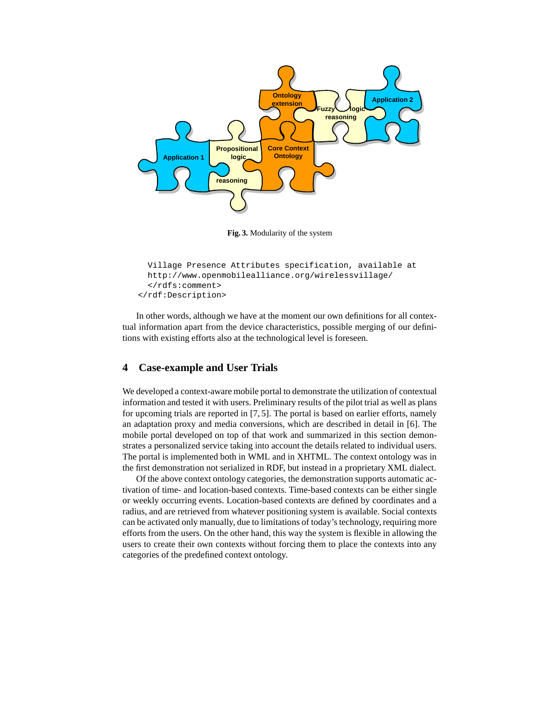

**Fig. 3.** Modularity of the system

```
Village Presence Attributes specification, available at
 http://www.openmobilealliance.org/wirelessvillage/
  </rdfs:comment>
</rdf:Description>
```
In other words, although we have at the moment our own definitions for all contextual information apart from the device characteristics, possible merging of our definitions with existing efforts also at the technological level is foreseen.

## **4 Case-example and User Trials**

We developed a context-aware mobile portal to demonstrate the utilization of contextual information and tested it with users. Preliminary results of the pilot trial as well as plans for upcoming trials are reported in [7, 5]. The portal is based on earlier efforts, namely an adaptation proxy and media conversions, which are described in detail in [6]. The mobile portal developed on top of that work and summarized in this section demonstrates a personalized service taking into account the details related to individual users. The portal is implemented both in WML and in XHTML. The context ontology was in the first demonstration not serialized in RDF, but instead in a proprietary XML dialect.

Of the above context ontology categories, the demonstration supports automatic activation of time- and location-based contexts. Time-based contexts can be either single or weekly occurring events. Location-based contexts are defined by coordinates and a radius, and are retrieved from whatever positioning system is available. Social contexts can be activated only manually, due to limitations of today's technology, requiring more efforts from the users. On the other hand, this way the system is flexible in allowing the users to create their own contexts without forcing them to place the contexts into any categories of the predefined context ontology.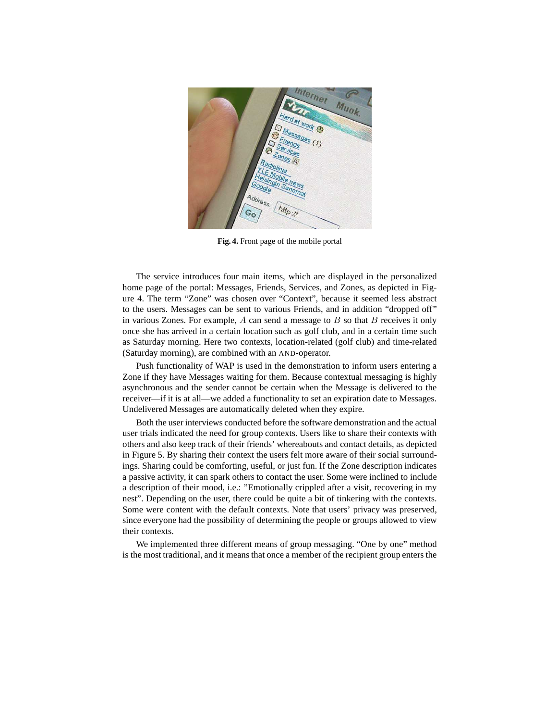

**Fig. 4.** Front page of the mobile portal

The service introduces four main items, which are displayed in the personalized home page of the portal: Messages, Friends, Services, and Zones, as depicted in Figure 4. The term "Zone" was chosen over "Context", because it seemed less abstract to the users. Messages can be sent to various Friends, and in addition "dropped off" in various Zones. For example,  $A$  can send a message to  $B$  so that  $B$  receives it only once she has arrived in a certain location such as golf club, and in a certain time such as Saturday morning. Here two contexts, location-related (golf club) and time-related (Saturday morning), are combined with an AND-operator.

Push functionality of WAP is used in the demonstration to inform users entering a Zone if they have Messages waiting for them. Because contextual messaging is highly asynchronous and the sender cannot be certain when the Message is delivered to the receiver—if it is at all—we added a functionality to set an expiration date to Messages. Undelivered Messages are automatically deleted when they expire.

Both the user interviews conducted before the software demonstration and the actual user trials indicated the need for group contexts. Users like to share their contexts with others and also keep track of their friends' whereabouts and contact details, as depicted in Figure 5. By sharing their context the users felt more aware of their social surroundings. Sharing could be comforting, useful, or just fun. If the Zone description indicates a passive activity, it can spark others to contact the user. Some were inclined to include a description of their mood, i.e.: "Emotionally crippled after a visit, recovering in my nest". Depending on the user, there could be quite a bit of tinkering with the contexts. Some were content with the default contexts. Note that users' privacy was preserved, since everyone had the possibility of determining the people or groups allowed to view their contexts.

We implemented three different means of group messaging. "One by one" method is the most traditional, and it means that once a member of the recipient group enters the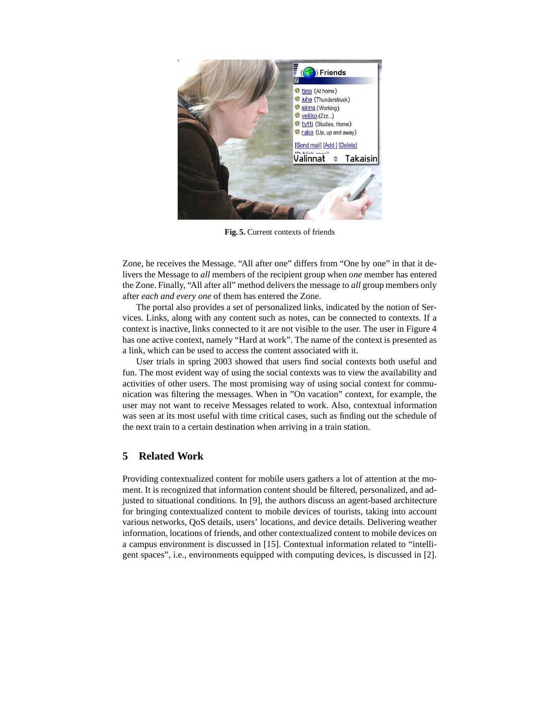

**Fig. 5.** Current contexts of friends

Zone, he receives the Message. "All after one" differs from "One by one" in that it delivers the Message to *all* members of the recipient group when *one* member has entered the Zone. Finally, "All after all" method delivers the message to *all* group members only after *each and every one* of them has entered the Zone.

The portal also provides a set of personalized links, indicated by the notion of Services. Links, along with any content such as notes, can be connected to contexts. If a context is inactive, links connected to it are not visible to the user. The user in Figure 4 has one active context, namely "Hard at work". The name of the context is presented as a link, which can be used to access the content associated with it.

User trials in spring 2003 showed that users find social contexts both useful and fun. The most evident way of using the social contexts was to view the availability and activities of other users. The most promising way of using social context for communication was filtering the messages. When in "On vacation" context, for example, the user may not want to receive Messages related to work. Also, contextual information was seen at its most useful with time critical cases, such as finding out the schedule of the next train to a certain destination when arriving in a train station.

## **5 Related Work**

Providing contextualized content for mobile users gathers a lot of attention at the moment. It is recognized that information content should be filtered, personalized, and adjusted to situational conditions. In [9], the authors discuss an agent-based architecture for bringing contextualized content to mobile devices of tourists, taking into account various networks, QoS details, users' locations, and device details. Delivering weather information, locations of friends, and other contextualized content to mobile devices on a campus environment is discussed in [15]. Contextual information related to "intelligent spaces", i.e., environments equipped with computing devices, is discussed in [2].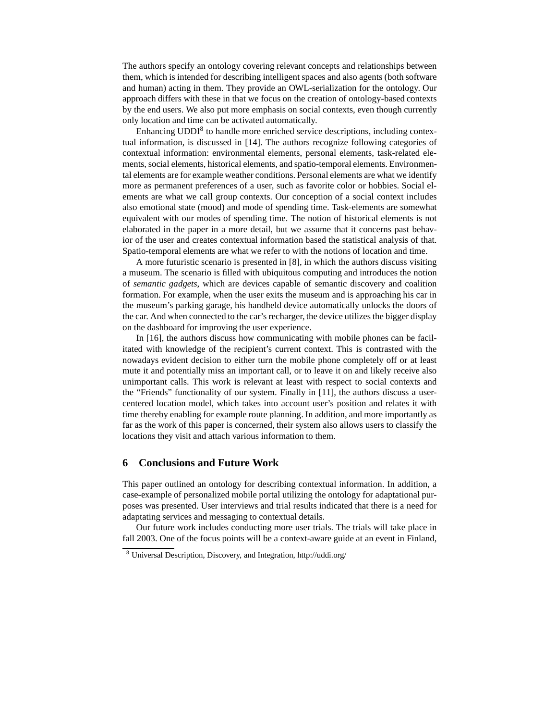The authors specify an ontology covering relevant concepts and relationships between them, which is intended for describing intelligent spaces and also agents (both software and human) acting in them. They provide an OWL-serialization for the ontology. Our approach differs with these in that we focus on the creation of ontology-based contexts by the end users. We also put more emphasis on social contexts, even though currently only location and time can be activated automatically.

Enhancing UDDI<sup>8</sup> to handle more enriched service descriptions, including contextual information, is discussed in [14]. The authors recognize following categories of contextual information: environmental elements, personal elements, task-related elements, social elements, historical elements, and spatio-temporal elements. Environmental elements are for example weather conditions. Personal elements are what we identify more as permanent preferences of a user, such as favorite color or hobbies. Social elements are what we call group contexts. Our conception of a social context includes also emotional state (mood) and mode of spending time. Task-elements are somewhat equivalent with our modes of spending time. The notion of historical elements is not elaborated in the paper in a more detail, but we assume that it concerns past behavior of the user and creates contextual information based the statistical analysis of that. Spatio-temporal elements are what we refer to with the notions of location and time.

A more futuristic scenario is presented in [8], in which the authors discuss visiting a museum. The scenario is filled with ubiquitous computing and introduces the notion of *semantic gadgets*, which are devices capable of semantic discovery and coalition formation. For example, when the user exits the museum and is approaching his car in the museum's parking garage, his handheld device automatically unlocks the doors of the car. And when connected to the car's recharger, the device utilizes the bigger display on the dashboard for improving the user experience.

In [16], the authors discuss how communicating with mobile phones can be facilitated with knowledge of the recipient's current context. This is contrasted with the nowadays evident decision to either turn the mobile phone completely off or at least mute it and potentially miss an important call, or to leave it on and likely receive also unimportant calls. This work is relevant at least with respect to social contexts and the "Friends" functionality of our system. Finally in [11], the authors discuss a usercentered location model, which takes into account user's position and relates it with time thereby enabling for example route planning. In addition, and more importantly as far as the work of this paper is concerned, their system also allows users to classify the locations they visit and attach various information to them.

### **6 Conclusions and Future Work**

This paper outlined an ontology for describing contextual information. In addition, a case-example of personalized mobile portal utilizing the ontology for adaptational purposes was presented. User interviews and trial results indicated that there is a need for adaptating services and messaging to contextual details.

Our future work includes conducting more user trials. The trials will take place in fall 2003. One of the focus points will be a context-aware guide at an event in Finland,

<sup>8</sup> Universal Description, Discovery, and Integration, http://uddi.org/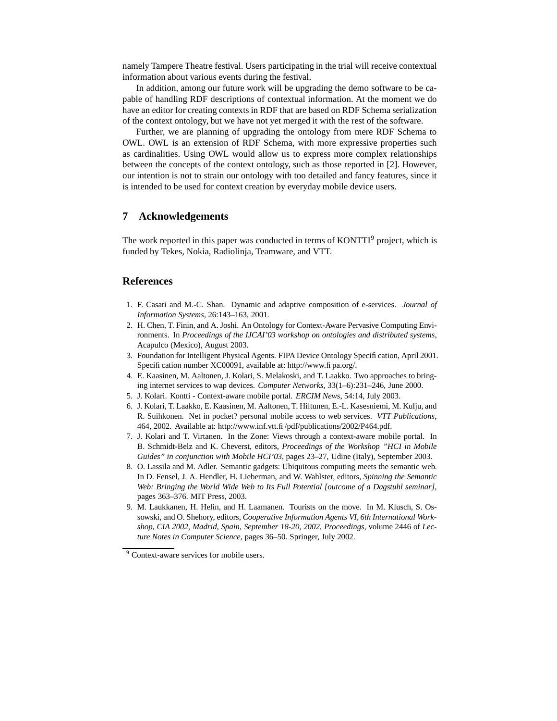namely Tampere Theatre festival. Users participating in the trial will receive contextual information about various events during the festival.

In addition, among our future work will be upgrading the demo software to be capable of handling RDF descriptions of contextual information. At the moment we do have an editor for creating contexts in RDF that are based on RDF Schema serialization of the context ontology, but we have not yet merged it with the rest of the software.

Further, we are planning of upgrading the ontology from mere RDF Schema to OWL. OWL is an extension of RDF Schema, with more expressive properties such as cardinalities. Using OWL would allow us to express more complex relationships between the concepts of the context ontology, such as those reported in [2]. However, our intention is not to strain our ontology with too detailed and fancy features, since it is intended to be used for context creation by everyday mobile device users.

## **7 Acknowledgements**

The work reported in this paper was conducted in terms of KONTTI<sup>9</sup> project, which is funded by Tekes, Nokia, Radiolinja, Teamware, and VTT.

### **References**

- 1. F. Casati and M.-C. Shan. Dynamic and adaptive composition of e-services. *Journal of Information Systems*, 26:143–163, 2001.
- 2. H. Chen, T. Finin, and A. Joshi. An Ontology for Context-Aware Pervasive Computing Environments. In *Proceedings of the IJCAI'03 workshop on ontologies and distributed systems*, Acapulco (Mexico), August 2003.
- 3. Foundation for Intelligent Physical Agents. FIPA Device Ontology Specification, April 2001. Specification number XC00091, available at: http://www.fipa.org/.
- 4. E. Kaasinen, M. Aaltonen, J. Kolari, S. Melakoski, and T. Laakko. Two approaches to bringing internet services to wap devices. *Computer Networks*, 33(1–6):231–246, June 2000.
- 5. J. Kolari. Kontti Context-aware mobile portal. *ERCIM News*, 54:14, July 2003.
- 6. J. Kolari, T. Laakko, E. Kaasinen, M. Aaltonen, T. Hiltunen, E.-L. Kasesniemi, M. Kulju, and R. Suihkonen. Net in pocket? personal mobile access to web services. *VTT Publications*, 464, 2002. Available at: http://www.inf.vtt.fi/pdf/publications/2002/P464.pdf.
- 7. J. Kolari and T. Virtanen. In the Zone: Views through a context-aware mobile portal. In B. Schmidt-Belz and K. Cheverst, editors, *Proceedings of the Workshop "HCI in Mobile Guides" in conjunction with Mobile HCI'03*, pages 23–27, Udine (Italy), September 2003.
- 8. O. Lassila and M. Adler. Semantic gadgets: Ubiquitous computing meets the semantic web. In D. Fensel, J. A. Hendler, H. Lieberman, and W. Wahlster, editors, *Spinning the Semantic Web: Bringing the World Wide Web to Its Full Potential [outcome of a Dagstuhl seminar]*, pages 363–376. MIT Press, 2003.
- 9. M. Laukkanen, H. Helin, and H. Laamanen. Tourists on the move. In M. Klusch, S. Ossowski, and O. Shehory, editors, *Cooperative Information Agents VI, 6th International Workshop, CIA 2002, Madrid, Spain, September 18-20, 2002, Proceedings*, volume 2446 of *Lecture Notes in Computer Science*, pages 36–50. Springer, July 2002.

<sup>&</sup>lt;sup>9</sup> Context-aware services for mobile users.